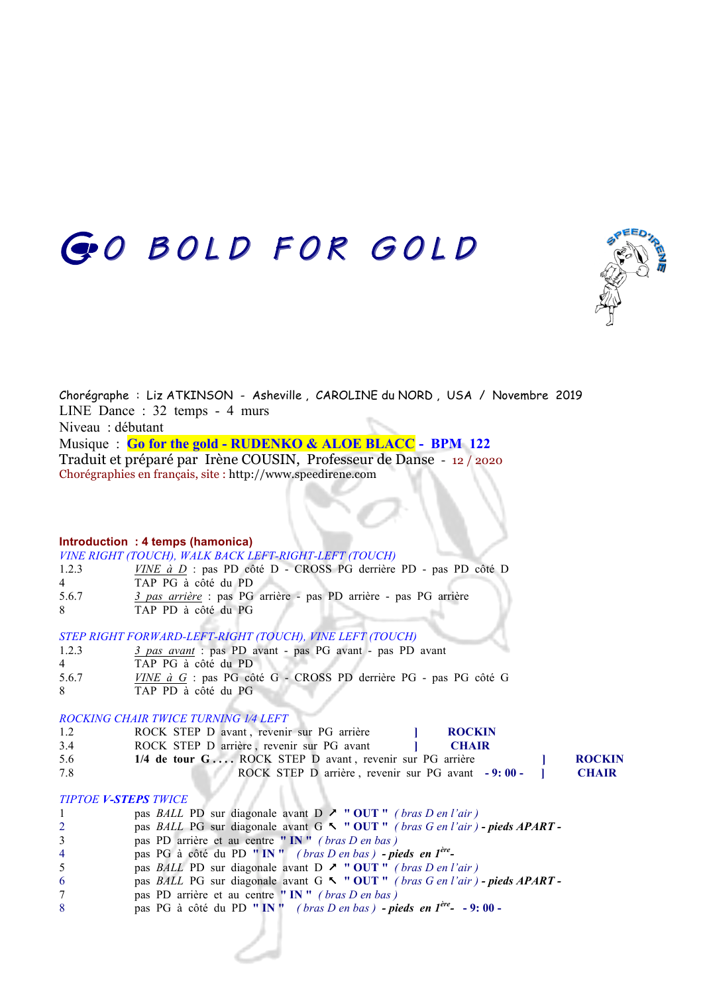# GO BOLD FOR GOLD



Chorégraphe : Liz ATKINSON - Asheville , CAROLINE du NORD , USA / Novembre 2019 LINE Dance : 32 temps - 4 murs Niveau : débutant Musique : **Go for the gold - RUDENKO & ALOE BLACC - BPM 122** Traduit et préparé par Irène COUSIN, Professeur de Danse - 12 / 2020 Chorégraphies en français, site : http://www.speedirene.com

## **Introduction : 4 temps (hamonica)**

|       | VINE RIGHT (TOUCH), WALK BACK LEFT-RIGHT-LEFT (TOUCH)               |  |
|-------|---------------------------------------------------------------------|--|
| 1.2.3 | $VINE$ à $D$ : pas PD côté D - CROSS PG derrière PD - pas PD côté D |  |
| 4     | TAP PG à côté du PD                                                 |  |
| 5.6.7 | 3 pas arrière : pas PG arrière - pas PD arrière - pas PG arrière    |  |
| 8.    | TAP PD à côté du PG                                                 |  |

### *STEP RIGHT FORWARD-LEFT-RIGHT (TOUCH), VINE LEFT (TOUCH)*

| 1.2.3 | 3 pas avant : pas PD avant - pas PG avant - pas PD avant |  |  |
|-------|----------------------------------------------------------|--|--|
|-------|----------------------------------------------------------|--|--|

- 4 TAP PG à côté du PD
- 5.6.7 *VINE à G* : pas PG côté G CROSS PD derrière PG pas PG côté G
- 8 TAP PD à côté du PG

### *ROCKING CHAIR TWICE TURNING 1⁄4 LEFT*

- 1.2 ROCK STEP D avant, revenir sur PG arrière **ROCKIN**
- 3.4 ROCK STEP D arrière , revenir sur PG avant **] CHAIR** 5.6 **1/4 de tour G . . . .** ROCK STEP D avant , revenir sur PG arrière **] ROCKIN** 7.8 ROCK STEP D arrière , revenir sur PG avant **- 9: 00 - ] CHAIR**

#### *TIPTOE V-STEPS TWICE*

- 1 **pas** *BALL* **PD sur diagonale avant D**  $\lambda$  **" OUT** " *( bras D en l'air )*
- 2 pas *BALL* PG sur diagonale avant G % **" OUT "** *( bras G en l'air ) - pieds APART -*
- 3 pas PD arrière et au centre **" IN "** *( bras D en bas )*
- 4 pas PG à côté du PD **" IN "** *( bras D en bas ) - pieds en 1ère-*
- 5 pas *BALL* PD sur diagonale avant D & **" OUT "** *( bras D en l'air )*
- 6 pas *BALL* PG sur diagonale avant G % **" OUT "** *( bras G en l'air ) - pieds APART -*
- 7 pas PD arrière et au centre **" IN "** *( bras D en bas )*
- 8 pas PG à côté du PD **" IN "** *( bras D en bas ) - pieds en 1ère-* **- 9: 00**